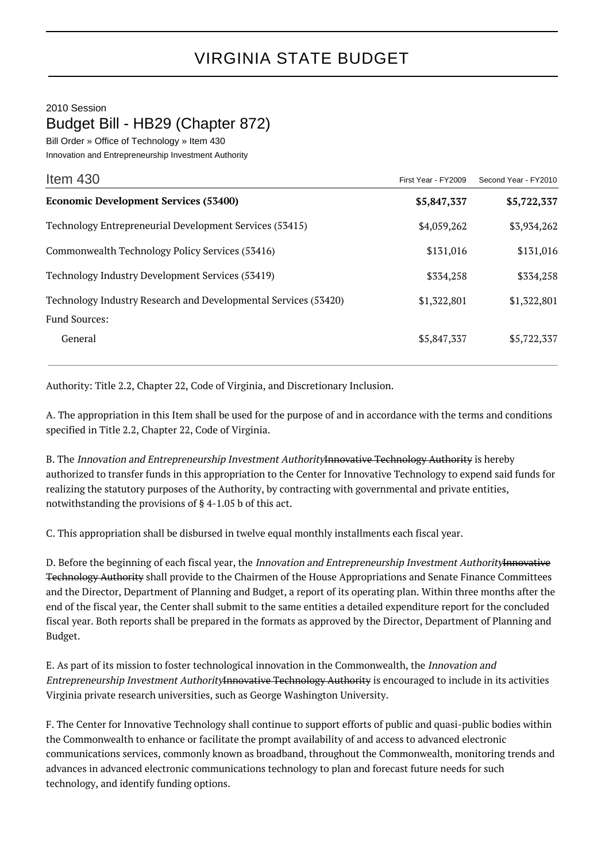## 2010 Session Budget Bill - HB29 (Chapter 872)

Bill Order » Office of Technology » Item 430

Innovation and Entrepreneurship Investment Authority

| Item $430$                                                      | First Year - FY2009 | Second Year - FY2010 |
|-----------------------------------------------------------------|---------------------|----------------------|
| <b>Economic Development Services (53400)</b>                    | \$5,847,337         | \$5,722,337          |
| Technology Entrepreneurial Development Services (53415)         | \$4,059,262         | \$3,934,262          |
| Commonwealth Technology Policy Services (53416)                 | \$131,016           | \$131,016            |
| Technology Industry Development Services (53419)                | \$334,258           | \$334,258            |
| Technology Industry Research and Developmental Services (53420) | \$1,322,801         | \$1,322,801          |
| <b>Fund Sources:</b>                                            |                     |                      |
| General                                                         | \$5,847,337         | \$5,722,337          |

Authority: Title 2.2, Chapter 22, Code of Virginia, and Discretionary Inclusion.

A. The appropriation in this Item shall be used for the purpose of and in accordance with the terms and conditions specified in Title 2.2, Chapter 22, Code of Virginia.

B. The Innovation and Entrepreneurship Investment AuthorityInnovative Technology Authority is hereby authorized to transfer funds in this appropriation to the Center for Innovative Technology to expend said funds for realizing the statutory purposes of the Authority, by contracting with governmental and private entities, notwithstanding the provisions of § 4-1.05 b of this act.

C. This appropriation shall be disbursed in twelve equal monthly installments each fiscal year.

D. Before the beginning of each fiscal year, the Innovation and Entrepreneurship Investment AuthorityInnovative Technology Authority shall provide to the Chairmen of the House Appropriations and Senate Finance Committees and the Director, Department of Planning and Budget, a report of its operating plan. Within three months after the end of the fiscal year, the Center shall submit to the same entities a detailed expenditure report for the concluded fiscal year. Both reports shall be prepared in the formats as approved by the Director, Department of Planning and Budget.

E. As part of its mission to foster technological innovation in the Commonwealth, the Innovation and Entrepreneurship Investment AuthorityInnovative Technology Authority is encouraged to include in its activities Virginia private research universities, such as George Washington University.

F. The Center for Innovative Technology shall continue to support efforts of public and quasi-public bodies within the Commonwealth to enhance or facilitate the prompt availability of and access to advanced electronic communications services, commonly known as broadband, throughout the Commonwealth, monitoring trends and advances in advanced electronic communications technology to plan and forecast future needs for such technology, and identify funding options.